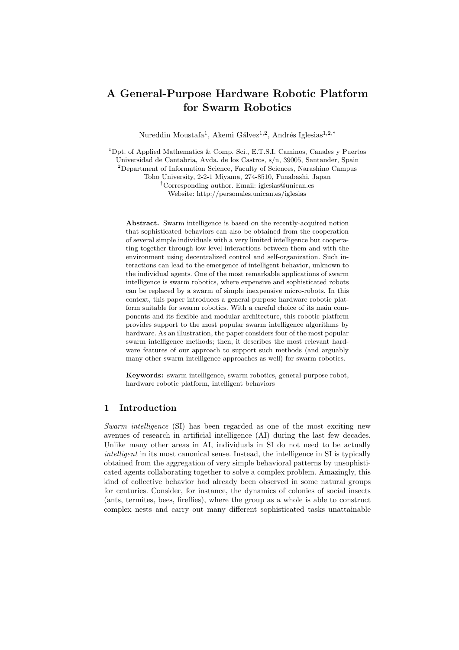# A General-Purpose Hardware Robotic Platform for Swarm Robotics

Nureddin Moustafa<sup>1</sup>, Akemi Gálvez<sup>1,2</sup>, Andrés Iglesias<sup>1,2,†</sup>

<sup>1</sup>Dpt. of Applied Mathematics & Comp. Sci., E.T.S.I. Caminos, Canales y Puertos Universidad de Cantabria, Avda. de los Castros, s/n, 39005, Santander, Spain <sup>2</sup>Department of Information Science, Faculty of Sciences, Narashino Campus Toho University, 2-2-1 Miyama, 274-8510, Funabashi, Japan : Corresponding author. Email: iglesias@unican.es

Website: http://personales.unican.es/iglesias

Abstract. Swarm intelligence is based on the recently-acquired notion that sophisticated behaviors can also be obtained from the cooperation of several simple individuals with a very limited intelligence but cooperating together through low-level interactions between them and with the environment using decentralized control and self-organization. Such interactions can lead to the emergence of intelligent behavior, unknown to the individual agents. One of the most remarkable applications of swarm intelligence is swarm robotics, where expensive and sophisticated robots can be replaced by a swarm of simple inexpensive micro-robots. In this context, this paper introduces a general-purpose hardware robotic platform suitable for swarm robotics. With a careful choice of its main components and its flexible and modular architecture, this robotic platform provides support to the most popular swarm intelligence algorithms by hardware. As an illustration, the paper considers four of the most popular swarm intelligence methods; then, it describes the most relevant hardware features of our approach to support such methods (and arguably many other swarm intelligence approaches as well) for swarm robotics.

Keywords: swarm intelligence, swarm robotics, general-purpose robot, hardware robotic platform, intelligent behaviors

# 1 Introduction

Swarm intelligence (SI) has been regarded as one of the most exciting new avenues of research in artificial intelligence (AI) during the last few decades. Unlike many other areas in AI, individuals in SI do not need to be actually intelligent in its most canonical sense. Instead, the intelligence in SI is typically obtained from the aggregation of very simple behavioral patterns by unsophisticated agents collaborating together to solve a complex problem. Amazingly, this kind of collective behavior had already been observed in some natural groups for centuries. Consider, for instance, the dynamics of colonies of social insects (ants, termites, bees, fireflies), where the group as a whole is able to construct complex nests and carry out many different sophisticated tasks unattainable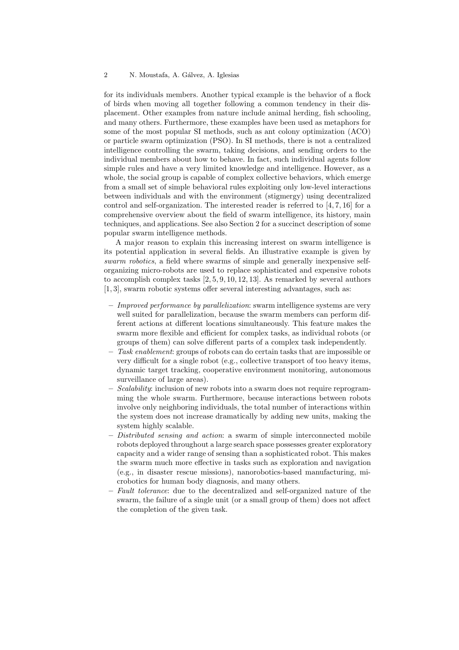### 2 N. Moustafa, A. Gálvez, A. Iglesias

for its individuals members. Another typical example is the behavior of a flock of birds when moving all together following a common tendency in their displacement. Other examples from nature include animal herding, fish schooling, and many others. Furthermore, these examples have been used as metaphors for some of the most popular SI methods, such as ant colony optimization (ACO) or particle swarm optimization (PSO). In SI methods, there is not a centralized intelligence controlling the swarm, taking decisions, and sending orders to the individual members about how to behave. In fact, such individual agents follow simple rules and have a very limited knowledge and intelligence. However, as a whole, the social group is capable of complex collective behaviors, which emerge from a small set of simple behavioral rules exploiting only low-level interactions between individuals and with the environment (stigmergy) using decentralized control and self-organization. The interested reader is referred to  $[4, 7, 16]$  for a comprehensive overview about the field of swarm intelligence, its history, main techniques, and applications. See also Section 2 for a succinct description of some popular swarm intelligence methods.

A major reason to explain this increasing interest on swarm intelligence is its potential application in several fields. An illustrative example is given by swarm robotics, a field where swarms of simple and generally inexpensive selforganizing micro-robots are used to replace sophisticated and expensive robots to accomplish complex tasks [2, 5, 9, 10, 12, 13]. As remarked by several authors [1, 3], swarm robotic systems offer several interesting advantages, such as:

- $-$  Improved performance by parallelization: swarm intelligence systems are very well suited for parallelization, because the swarm members can perform different actions at different locations simultaneously. This feature makes the swarm more flexible and efficient for complex tasks, as individual robots (or groups of them) can solve different parts of a complex task independently.
- $-$  Task enablement: groups of robots can do certain tasks that are impossible or very difficult for a single robot (e.g., collective transport of too heavy items, dynamic target tracking, cooperative environment monitoring, autonomous surveillance of large areas).
- Scalability: inclusion of new robots into a swarm does not require reprogramming the whole swarm. Furthermore, because interactions between robots involve only neighboring individuals, the total number of interactions within the system does not increase dramatically by adding new units, making the system highly scalable.
- Distributed sensing and action: a swarm of simple interconnected mobile robots deployed throughout a large search space possesses greater exploratory capacity and a wider range of sensing than a sophisticated robot. This makes the swarm much more effective in tasks such as exploration and navigation (e.g., in disaster rescue missions), nanorobotics-based manufacturing, microbotics for human body diagnosis, and many others.
- Fault tolerance: due to the decentralized and self-organized nature of the swarm, the failure of a single unit (or a small group of them) does not affect the completion of the given task.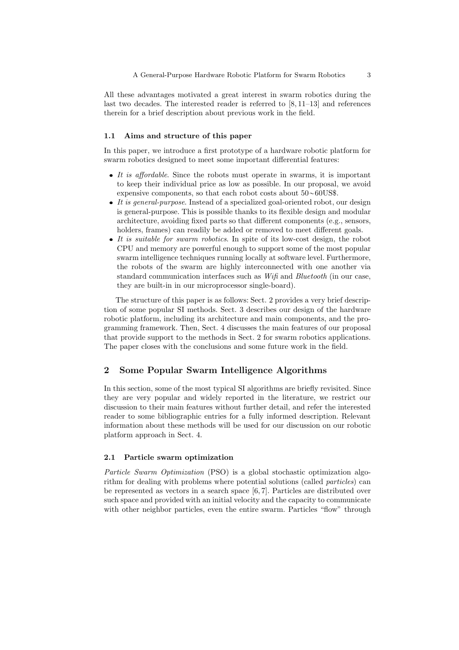All these advantages motivated a great interest in swarm robotics during the last two decades. The interested reader is referred to [8, 11–13] and references therein for a brief description about previous work in the field.

#### 1.1 Aims and structure of this paper

In this paper, we introduce a first prototype of a hardware robotic platform for swarm robotics designed to meet some important differential features:

- $\bullet$  It is affordable. Since the robots must operate in swarms, it is important to keep their individual price as low as possible. In our proposal, we avoid expensive components, so that each robot costs about  $50\negthinspace\negthinspace\sim\negthinspace 60U$ SS.
- $\bullet$  It is general-purpose. Instead of a specialized goal-oriented robot, our design is general-purpose. This is possible thanks to its flexible design and modular architecture, avoiding fixed parts so that different components (e.g., sensors, holders, frames) can readily be added or removed to meet different goals.
- $\bullet$  It is suitable for swarm robotics. In spite of its low-cost design, the robot CPU and memory are powerful enough to support some of the most popular swarm intelligence techniques running locally at software level. Furthermore, the robots of the swarm are highly interconnected with one another via standard communication interfaces such as Wifi and Bluetooth (in our case, they are built-in in our microprocessor single-board).

The structure of this paper is as follows: Sect. 2 provides a very brief description of some popular SI methods. Sect. 3 describes our design of the hardware robotic platform, including its architecture and main components, and the programming framework. Then, Sect. 4 discusses the main features of our proposal that provide support to the methods in Sect. 2 for swarm robotics applications. The paper closes with the conclusions and some future work in the field.

# 2 Some Popular Swarm Intelligence Algorithms

In this section, some of the most typical SI algorithms are briefly revisited. Since they are very popular and widely reported in the literature, we restrict our discussion to their main features without further detail, and refer the interested reader to some bibliographic entries for a fully informed description. Relevant information about these methods will be used for our discussion on our robotic platform approach in Sect. 4.

#### 2.1 Particle swarm optimization

Particle Swarm Optimization (PSO) is a global stochastic optimization algorithm for dealing with problems where potential solutions (called particles) can be represented as vectors in a search space [6, 7]. Particles are distributed over such space and provided with an initial velocity and the capacity to communicate with other neighbor particles, even the entire swarm. Particles "flow" through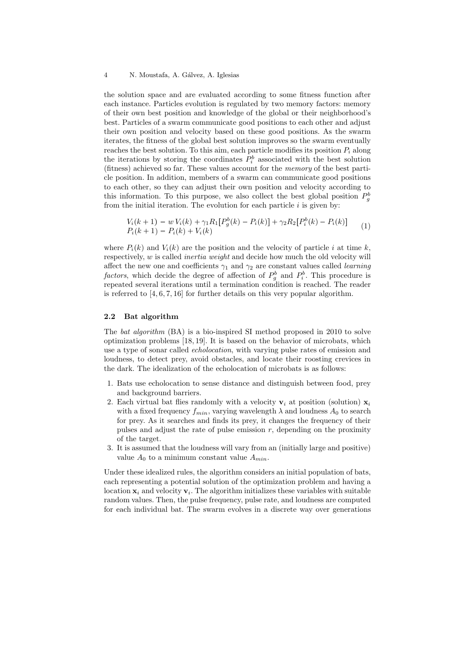the solution space and are evaluated according to some fitness function after each instance. Particles evolution is regulated by two memory factors: memory of their own best position and knowledge of the global or their neighborhood's best. Particles of a swarm communicate good positions to each other and adjust their own position and velocity based on these good positions. As the swarm iterates, the fitness of the global best solution improves so the swarm eventually reaches the best solution. To this aim, each particle modifies its position  $P_i$  along the iterations by storing the coordinates  $P_i^b$  associated with the best solution (fitness) achieved so far. These values account for the memory of the best particle position. In addition, members of a swarm can communicate good positions to each other, so they can adjust their own position and velocity according to this information. To this purpose, we also collect the best global position  $P_g^b$ from the initial iteration. The evolution for each particle  $i$  is given by:

$$
V_i(k+1) = w V_i(k) + \gamma_1 R_1 [P_g^b(k) - P_i(k)] + \gamma_2 R_2 [P_i^b(k) - P_i(k)]
$$
  
\n
$$
P_i(k+1) = P_i(k) + V_i(k)
$$
\n(1)

where  $P_i(k)$  and  $V_i(k)$  are the position and the velocity of particle i at time k, respectively, w is called *inertia weight* and decide how much the old velocity will affect the new one and coefficients  $\gamma_1$  and  $\gamma_2$  are constant values called *learning* factors, which decide the degree of affection of  $P_g^b$  and  $P_i^b$ . This procedure is repeated several iterations until a termination condition is reached. The reader is referred to [4, 6, 7, 16] for further details on this very popular algorithm.

#### 2.2 Bat algorithm

The *bat algorithm* (BA) is a bio-inspired SI method proposed in 2010 to solve optimization problems [18, 19]. It is based on the behavior of microbats, which use a type of sonar called echolocation, with varying pulse rates of emission and loudness, to detect prey, avoid obstacles, and locate their roosting crevices in the dark. The idealization of the echolocation of microbats is as follows:

- 1. Bats use echolocation to sense distance and distinguish between food, prey and background barriers.
- 2. Each virtual bat flies randomly with a velocity  $v_i$  at position (solution)  $x_i$ with a fixed frequency  $f_{min}$ , varying wavelength  $\lambda$  and loudness  $A_0$  to search for prey. As it searches and finds its prey, it changes the frequency of their pulses and adjust the rate of pulse emission  $r$ , depending on the proximity of the target.
- 3. It is assumed that the loudness will vary from an (initially large and positive) value  $A_0$  to a minimum constant value  $A_{min}$ .

Under these idealized rules, the algorithm considers an initial population of bats, each representing a potential solution of the optimization problem and having a location  $x_i$  and velocity  $v_i$ . The algorithm initializes these variables with suitable random values. Then, the pulse frequency, pulse rate, and loudness are computed for each individual bat. The swarm evolves in a discrete way over generations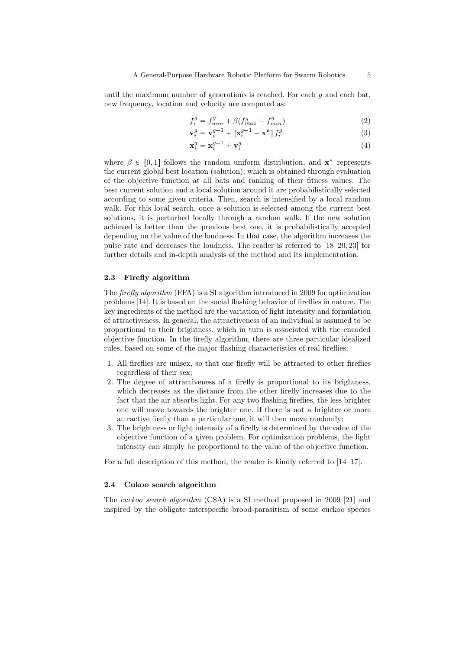until the maximum number of generations is reached. For each  $g$  and each bat, new frequency, location and velocity are computed as:

$$
f_i^g = f_{min}^g + \beta (f_{max}^g - f_{min}^g) \tag{2}
$$

$$
\mathbf{v}_i^g = \mathbf{v}_i^{g-1} + \left[\mathbf{x}_i^{g-1} - \mathbf{x}^*\right] f_i^g \tag{3}
$$

$$
\mathbf{x}_i^g = \mathbf{x}_i^{g-1} + \mathbf{v}_i^g \tag{4}
$$

where  $\beta \in [0, 1]$  follows the random uniform distribution, and  $\mathbf{x}^*$  represents the current global best location (solution), which is obtained through evaluation of the objective function at all bats and ranking of their fitness values. The best current solution and a local solution around it are probabilistically selected according to some given criteria. Then, search is intensified by a local random walk. For this local search, once a solution is selected among the current best solutions, it is perturbed locally through a random walk. If the new solution achieved is better than the previous best one, it is probabilistically accepted depending on the value of the loudness. In that case, the algorithm increases the pulse rate and decreases the loudness. The reader is referred to [18–20, 23] for further details and in-depth analysis of the method and its implementation.

### 2.3 Firefly algorithm

The *firefly algorithm* (FFA) is a SI algorithm introduced in 2009 for optimization problems [14]. It is based on the social flashing behavior of fireflies in nature. The key ingredients of the method are the variation of light intensity and formulation of attractiveness. In general, the attractiveness of an individual is assumed to be proportional to their brightness, which in turn is associated with the encoded objective function. In the firefly algorithm, there are three particular idealized rules, based on some of the major flashing characteristics of real fireflies:

- 1. All fireflies are unisex, so that one firefly will be attracted to other fireflies regardless of their sex;
- 2. The degree of attractiveness of a firefly is proportional to its brightness, which decreases as the distance from the other firefly increases due to the fact that the air absorbs light. For any two flashing fireflies, the less brighter one will move towards the brighter one. If there is not a brighter or more attractive firefly than a particular one, it will then move randomly;
- 3. The brightness or light intensity of a firefly is determined by the value of the objective function of a given problem. For optimization problems, the light intensity can simply be proportional to the value of the objective function.

For a full description of this method, the reader is kindly referred to [14–17].

# 2.4 Cukoo search algorithm

The cuckoo search algorithm (CSA) is a SI method proposed in 2009 [21] and inspired by the obligate interspecific brood-parasitism of some cuckoo species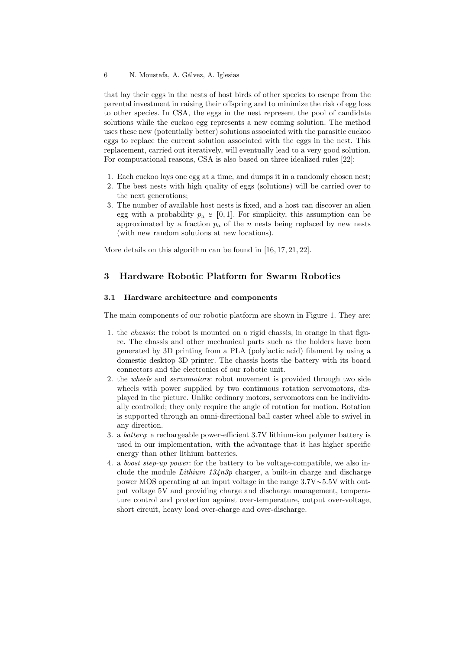# 6 N. Moustafa, A. Gálvez, A. Iglesias

that lay their eggs in the nests of host birds of other species to escape from the parental investment in raising their offspring and to minimize the risk of egg loss to other species. In CSA, the eggs in the nest represent the pool of candidate solutions while the cuckoo egg represents a new coming solution. The method uses these new (potentially better) solutions associated with the parasitic cuckoo eggs to replace the current solution associated with the eggs in the nest. This replacement, carried out iteratively, will eventually lead to a very good solution. For computational reasons, CSA is also based on three idealized rules [22]:

- 1. Each cuckoo lays one egg at a time, and dumps it in a randomly chosen nest;
- 2. The best nests with high quality of eggs (solutions) will be carried over to the next generations;
- 3. The number of available host nests is fixed, and a host can discover an alien egg with a probability  $p_a \in [0, 1]$ . For simplicity, this assumption can be approximated by a fraction  $p_a$  of the n nests being replaced by new nests (with new random solutions at new locations).

More details on this algorithm can be found in [16, 17, 21, 22].

# 3 Hardware Robotic Platform for Swarm Robotics

#### 3.1 Hardware architecture and components

The main components of our robotic platform are shown in Figure 1. They are:

- 1. the chassis: the robot is mounted on a rigid chassis, in orange in that figure. The chassis and other mechanical parts such as the holders have been generated by 3D printing from a PLA (polylactic acid) filament by using a domestic desktop 3D printer. The chassis hosts the battery with its board connectors and the electronics of our robotic unit.
- 2. the wheels and servomotors: robot movement is provided through two side wheels with power supplied by two continuous rotation servomotors, displayed in the picture. Unlike ordinary motors, servomotors can be individually controlled; they only require the angle of rotation for motion. Rotation is supported through an omni-directional ball caster wheel able to swivel in any direction.
- 3. a battery: a rechargeable power-efficient 3.7V lithium-ion polymer battery is used in our implementation, with the advantage that it has higher specific energy than other lithium batteries.
- 4. a boost step-up power: for the battery to be voltage-compatible, we also include the module *Lithium*  $134n3p$  charger, a built-in charge and discharge power MOS operating at an input voltage in the range  $3.7V\sim5.5V$  with output voltage 5V and providing charge and discharge management, temperature control and protection against over-temperature, output over-voltage, short circuit, heavy load over-charge and over-discharge.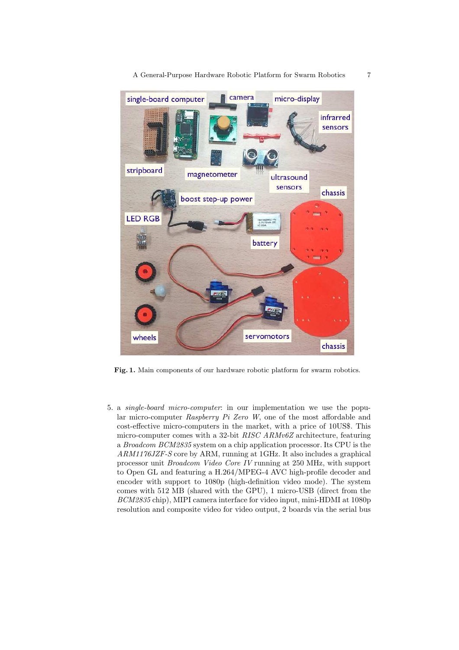

Fig. 1. Main components of our hardware robotic platform for swarm robotics.

5. a single-board micro-computer: in our implementation we use the popular micro-computer Raspberry Pi Zero W, one of the most affordable and cost-effective micro-computers in the market, with a price of 10US\$. This micro-computer comes with a 32-bit RISC ARMv6Z architecture, featuring a Broadcom BCM2835 system on a chip application processor. Its CPU is the ARM1176JZF-S core by ARM, running at 1GHz. It also includes a graphical processor unit Broadcom Video Core IV running at 250 MHz, with support to Open GL and featuring a H.264/MPEG-4 AVC high-profile decoder and encoder with support to 1080p (high-definition video mode). The system comes with 512 MB (shared with the GPU), 1 micro-USB (direct from the BCM2835 chip), MIPI camera interface for video input, mini-HDMI at 1080p resolution and composite video for video output, 2 boards via the serial bus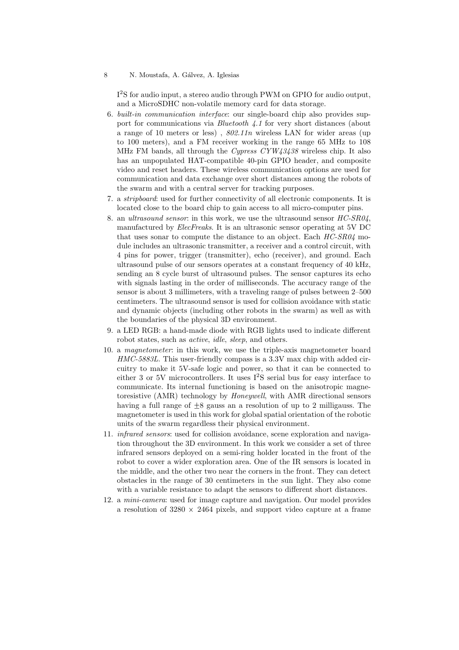#### 8 N. Moustafa, A. Gálvez, A. Iglesias

I<sup>2</sup>S for audio input, a stereo audio through PWM on GPIO for audio output, and a MicroSDHC non-volatile memory card for data storage.

- 6. built-in communication interface: our single-board chip also provides support for communications via Bluetooth 4.1 for very short distances (about a range of 10 meters or less),  $802.11n$  wireless LAN for wider areas (up to 100 meters), and a FM receiver working in the range 65 MHz to 108 MHz FM bands, all through the Cypress CYW43438 wireless chip. It also has an unpopulated HAT-compatible 40-pin GPIO header, and composite video and reset headers. These wireless communication options are used for communication and data exchange over short distances among the robots of the swarm and with a central server for tracking purposes.
- 7. a stripboard: used for further connectivity of all electronic components. It is located close to the board chip to gain access to all micro-computer pins.
- 8. an ultrasound sensor: in this work, we use the ultrasound sensor HC-SR04, manufactured by ElecFreaks. It is an ultrasonic sensor operating at 5V DC that uses sonar to compute the distance to an object. Each HC-SR04 module includes an ultrasonic transmitter, a receiver and a control circuit, with 4 pins for power, trigger (transmitter), echo (receiver), and ground. Each ultrasound pulse of our sensors operates at a constant frequency of 40 kHz, sending an 8 cycle burst of ultrasound pulses. The sensor captures its echo with signals lasting in the order of milliseconds. The accuracy range of the sensor is about 3 millimeters, with a traveling range of pulses between 2–500 centimeters. The ultrasound sensor is used for collision avoidance with static and dynamic objects (including other robots in the swarm) as well as with the boundaries of the physical 3D environment.
- 9. a LED RGB: a hand-made diode with RGB lights used to indicate different robot states, such as active, idle, sleep, and others.
- 10. a magnetometer: in this work, we use the triple-axis magnetometer board HMC-5883L. This user-friendly compass is a 3.3V max chip with added circuitry to make it 5V-safe logic and power, so that it can be connected to either 3 or 5V microcontrollers. It uses  $I^2S$  serial bus for easy interface to communicate. Its internal functioning is based on the anisotropic magnetoresistive (AMR) technology by Honeywell, with AMR directional sensors having a full range of  $\pm 8$  gauss an a resolution of up to 2 milligauss. The magnetometer is used in this work for global spatial orientation of the robotic units of the swarm regardless their physical environment.
- 11. infrared sensors: used for collision avoidance, scene exploration and navigation throughout the 3D environment. In this work we consider a set of three infrared sensors deployed on a semi-ring holder located in the front of the robot to cover a wider exploration area. One of the IR sensors is located in the middle, and the other two near the corners in the front. They can detect obstacles in the range of 30 centimeters in the sun light. They also come with a variable resistance to adapt the sensors to different short distances.
- 12. a mini-camera: used for image capture and navigation. Our model provides a resolution of  $3280 \times 2464$  pixels, and support video capture at a frame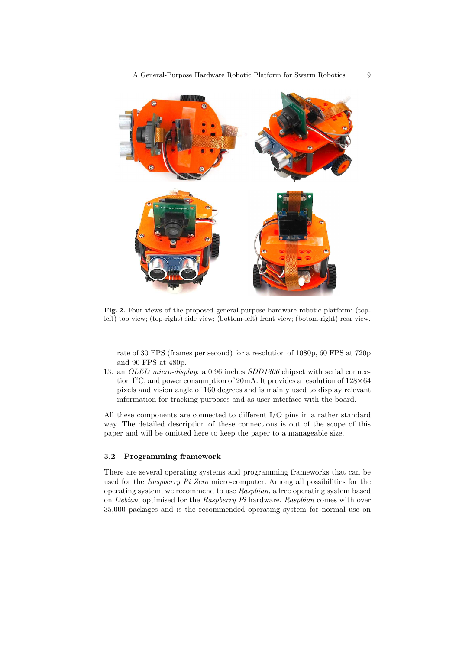

Fig. 2. Four views of the proposed general-purpose hardware robotic platform: (topleft) top view; (top-right) side view; (bottom-left) front view; (botom-right) rear view.

rate of 30 FPS (frames per second) for a resolution of 1080p, 60 FPS at 720p and 90 FPS at 480p.

13. an OLED micro-display: a 0.96 inches SDD1306 chipset with serial connection I<sup>2</sup>C, and power consumption of  $20mA$ . It provides a resolution of  $128\times64$ pixels and vision angle of 160 degrees and is mainly used to display relevant information for tracking purposes and as user-interface with the board.

All these components are connected to different I/O pins in a rather standard way. The detailed description of these connections is out of the scope of this paper and will be omitted here to keep the paper to a manageable size.

#### 3.2 Programming framework

There are several operating systems and programming frameworks that can be used for the Raspberry Pi Zero micro-computer. Among all possibilities for the operating system, we recommend to use Raspbian, a free operating system based on Debian, optimised for the Raspberry Pi hardware. Raspbian comes with over 35,000 packages and is the recommended operating system for normal use on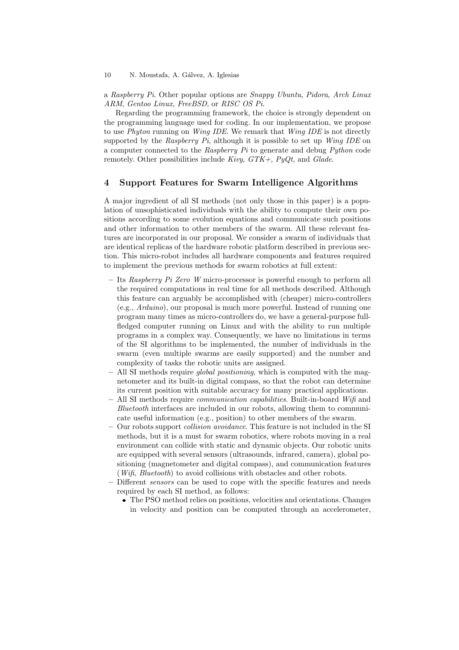a Raspberry Pi. Other popular options are Snappy Ubuntu, Pidora, Arch Linux ARM, Gentoo Linux, FreeBSD, or RISC OS Pi.

Regarding the programming framework, the choice is strongly dependent on the programming language used for coding. In our implementation, we propose to use *Phyton* running on *Wing IDE*. We remark that *Wing IDE* is not directly supported by the Raspberry  $Pi$ , although it is possible to set up Wing IDE on a computer connected to the Raspberry  $Pi$  to generate and debug  $Python$  code remotely. Other possibilities include Kivy,  $GTK+$ ,  $PyQt$ , and  $Glade$ .

# 4 Support Features for Swarm Intelligence Algorithms

A major ingredient of all SI methods (not only those in this paper) is a population of unsophisticated individuals with the ability to compute their own positions according to some evolution equations and communicate such positions and other information to other members of the swarm. All these relevant features are incorporated in our proposal. We consider a swarm of individuals that are identical replicas of the hardware robotic platform described in previous section. This micro-robot includes all hardware components and features required to implement the previous methods for swarm robotics at full extent:

- Its Raspberry Pi Zero W micro-processor is powerful enough to perform all the required computations in real time for all methods described. Although this feature can arguably be accomplished with (cheaper) micro-controllers (e.g., Arduino), our proposal is much more powerful. Instead of running one program many times as micro-controllers do, we have a general-purpose fullfledged computer running on Linux and with the ability to run multiple programs in a complex way. Consequently, we have no limitations in terms of the SI algorithms to be implemented, the number of individuals in the swarm (even multiple swarms are easily supported) and the number and complexity of tasks the robotic units are assigned.
- All SI methods require *global positioning*, which is computed with the magnetometer and its built-in digital compass, so that the robot can determine its current position with suitable accuracy for many practical applications.
- All SI methods require communication capabilities. Built-in-board Wifi and Bluetooth interfaces are included in our robots, allowing them to communicate useful information (e.g., position) to other members of the swarm.
- Our robots support collision avoidance. This feature is not included in the SI methods, but it is a must for swarm robotics, where robots moving in a real environment can collide with static and dynamic objects. Our robotic units are equipped with several sensors (ultrasounds, infrared, camera), global positioning (magnetometer and digital compass), and communication features (Wifi, Bluetooth) to avoid collisions with obstacles and other robots.
- Different sensors can be used to cope with the specific features and needs required by each SI method, as follows:
	- The PSO method relies on positions, velocities and orientations. Changes in velocity and position can be computed through an accelerometer,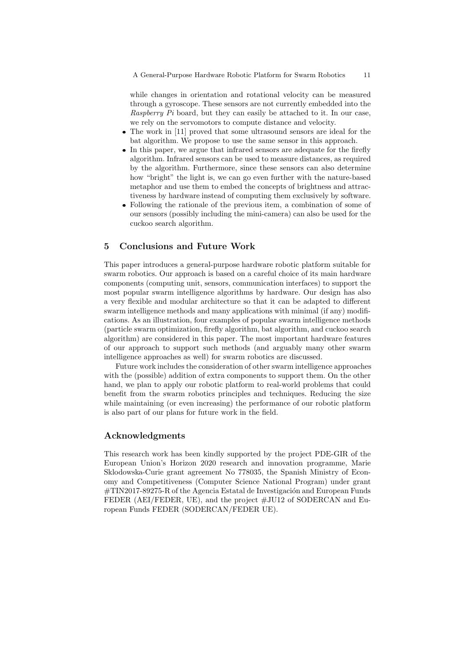A General-Purpose Hardware Robotic Platform for Swarm Robotics 11

while changes in orientation and rotational velocity can be measured through a gyroscope. These sensors are not currently embedded into the Raspberry Pi board, but they can easily be attached to it. In our case, we rely on the servomotors to compute distance and velocity.

- The work in [11] proved that some ultrasound sensors are ideal for the bat algorithm. We propose to use the same sensor in this approach.
- In this paper, we argue that infrared sensors are adequate for the firefly algorithm. Infrared sensors can be used to measure distances, as required by the algorithm. Furthermore, since these sensors can also determine how "bright" the light is, we can go even further with the nature-based metaphor and use them to embed the concepts of brightness and attractiveness by hardware instead of computing them exclusively by software.
- Following the rationale of the previous item, a combination of some of our sensors (possibly including the mini-camera) can also be used for the cuckoo search algorithm.

# 5 Conclusions and Future Work

This paper introduces a general-purpose hardware robotic platform suitable for swarm robotics. Our approach is based on a careful choice of its main hardware components (computing unit, sensors, communication interfaces) to support the most popular swarm intelligence algorithms by hardware. Our design has also a very flexible and modular architecture so that it can be adapted to different swarm intelligence methods and many applications with minimal (if any) modifications. As an illustration, four examples of popular swarm intelligence methods (particle swarm optimization, firefly algorithm, bat algorithm, and cuckoo search algorithm) are considered in this paper. The most important hardware features of our approach to support such methods (and arguably many other swarm intelligence approaches as well) for swarm robotics are discussed.

Future work includes the consideration of other swarm intelligence approaches with the (possible) addition of extra components to support them. On the other hand, we plan to apply our robotic platform to real-world problems that could benefit from the swarm robotics principles and techniques. Reducing the size while maintaining (or even increasing) the performance of our robotic platform is also part of our plans for future work in the field.

# Acknowledgments

This research work has been kindly supported by the project PDE-GIR of the European Union's Horizon 2020 research and innovation programme, Marie Sklodowska-Curie grant agreement No 778035, the Spanish Ministry of Economy and Competitiveness (Computer Science National Program) under grant  $\#\text{TIN}2017-89275-R$  of the Agencia Estatal de Investigación and European Funds FEDER (AEI/FEDER, UE), and the project #JU12 of SODERCAN and European Funds FEDER (SODERCAN/FEDER UE).